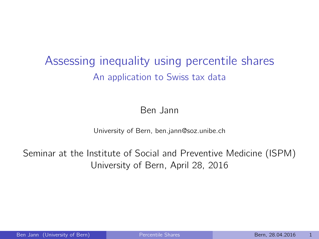<span id="page-0-0"></span>Assessing inequality using percentile shares An application to Swiss tax data

Ben Jann

#### University of Bern, ben.jann@soz.unibe.ch

Seminar at the Institute of Social and Preventive Medicine (ISPM) University of Bern, April 28, 2016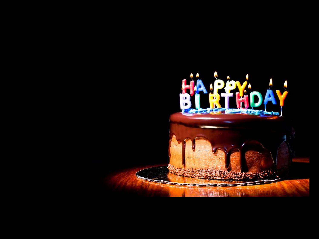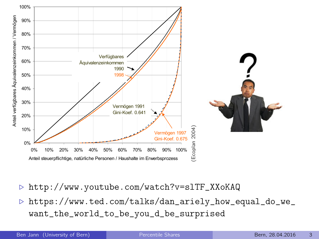

 $\triangleright$  $\triangleright$  [http://www.youtube.com/watch?v=slTF\\_XXoKAQ](http://www.youtube.com/watch?v=slTF_XXoKAQ)

von Leu/Burri/Priester (1997), die über Daten der Vermögensverteilung aus dem Jahre 1992

 $\triangleright$  [https://www.ted.com/talks/dan\\_ariely\\_how\\_equal\\_do\\_we\\_](https://www.ted.com/talks/dan_ariely_how_equal_do_we_want_the_world_to_be_you_d_be_surprised) [want\\_the\\_world\\_to\\_be\\_you\\_d\\_be\\_surprised](https://www.ted.com/talks/dan_ariely_how_equal_do_we_want_the_world_to_be_you_d_be_surprised)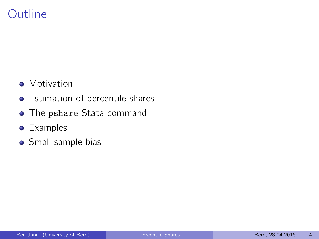## **Outline**

- Motivation
- **•** Estimation of percentile shares
- The pshare Stata command
- **•** Examples
- Small sample bias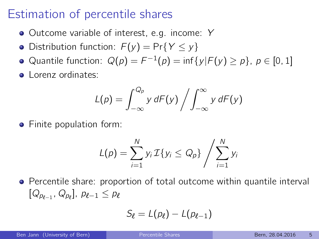## Estimation of percentile shares

- Outcome variable of interest, e.g. income: Y
- Distribution function:  $F(y) = Pr\{Y \leq y\}$
- Quantile function:  $Q(\rho) = F^{-1}(\rho) = \inf\{y | F(y) \ge \rho\}$ ,  $\rho \in [0, 1]$
- **o** Lorenz ordinates:

$$
L(p) = \int_{-\infty}^{Q_p} y \, dF(y) \bigg/ \int_{-\infty}^{\infty} y \, dF(y)
$$

**•** Finite population form:

$$
L(p) = \sum_{i=1}^N y_i \mathcal{I}\{y_i \leq Q_p\} / \sum_{i=1}^N y_i
$$

Percentile share: proportion of total outcome within quantile interval  $[Q_{\rho_{\ell-1}}, Q_{\rho_{\ell}}], \ \rho_{\ell-1} \leq \rho_{\ell}$ 

$$
S_{\ell} = L(p_{\ell}) - L(p_{\ell-1})
$$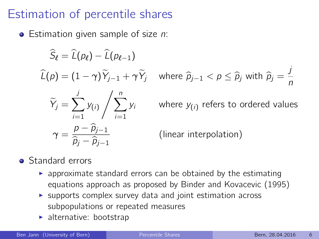# Estimation of percentile shares

 $\bullet$  Estimation given sample of size *n*:

$$
\widehat{S}_{\ell} = \widehat{L}(p_{\ell}) - \widehat{L}(p_{\ell-1})
$$

$$
\widehat{L}(p) = (1 - \gamma)\widetilde{Y}_{j-1} + \gamma\widetilde{Y}_{j}
$$

$$
\widetilde{Y}_{j} = \sum_{i=1}^{j} y_{(i)} / \sum_{i=1}^{n} y_{i}
$$

$$
\gamma = \frac{p - \widehat{p}_{j-1}}{\widehat{p}_{j} - \widehat{p}_{j-1}}
$$

$$
\hat{p}_j
$$
 where  $\hat{p}_{j-1} < p \le \hat{p}_j$  with  $\hat{p}_j = \frac{j}{n}$ 

 $y_i$  where  $y_{(i)}$  refers to ordered values

(linear interpolation)

#### **o** Standard errors

- $\rightarrow$  approximate standard errors can be obtained by the estimating equations approach as proposed by Binder and Kovacevic (1995)
- $\triangleright$  supports complex survey data and joint estimation across subpopulations or repeated measures
- $\blacktriangleright$  alternative: bootstrap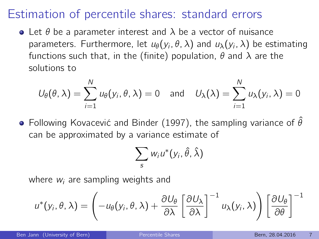## Estimation of percentile shares: standard errors

• Let  $\theta$  be a parameter interest and  $\lambda$  be a vector of nuisance parameters. Furthermore, let  $u_\theta(y_i,\theta,\lambda)$  and  $u_\lambda(y_i,\lambda)$  be estimating functions such that, in the (finite) population,  $\theta$  and  $\lambda$  are the solutions to

$$
U_{\theta}(\theta,\lambda)=\sum_{i=1}^N u_{\theta}(y_i,\theta,\lambda)=0 \text{ and } U_{\lambda}(\lambda)=\sum_{i=1}^N u_{\lambda}(y_i,\lambda)=0
$$

• Following Kovacević and Binder (1997), the sampling variance of  $\hat{\theta}$ can be approximated by a variance estimate of

$$
\sum_s w_i u^*(y_i, \hat{\theta}, \hat{\lambda})
$$

where  $w_i$  are sampling weights and

$$
u^*(y_i, \theta, \lambda) = \left(-u_{\theta}(y_i, \theta, \lambda) + \frac{\partial U_{\theta}}{\partial \lambda} \left[\frac{\partial U_{\lambda}}{\partial \lambda}\right]^{-1} u_{\lambda}(y_i, \lambda)\right) \left[\frac{\partial U_{\theta}}{\partial \theta}\right]^{-1}
$$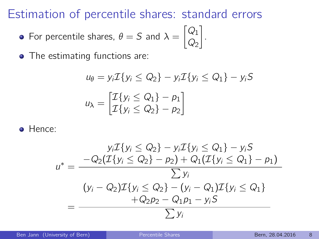Estimation of percentile shares: standard errors

• For percentile shares, 
$$
\theta = S
$$
 and  $\lambda = \begin{bmatrix} Q_1 \\ Q_2 \end{bmatrix}$ .

• The estimating functions are:

$$
u_{\theta} = y_i \mathcal{I}\{y_i \le Q_2\} - y_i \mathcal{I}\{y_i \le Q_1\} - y_i S
$$

$$
u_{\lambda} = \begin{bmatrix} \mathcal{I}\{y_i \le Q_1\} - p_1 \\ \mathcal{I}\{y_i \le Q_2\} - p_2 \end{bmatrix}
$$

Hence:

$$
y_{i}\mathcal{I}\{y_{i} \le Q_{2}\} - y_{i}\mathcal{I}\{y_{i} \le Q_{1}\} - y_{i}S
$$
\n
$$
u^{*} = \frac{-Q_{2}(\mathcal{I}\{y_{i} \le Q_{2}\} - p_{2}) + Q_{1}(\mathcal{I}\{y_{i} \le Q_{1}\} - p_{1})}{\sum y_{i}}
$$
\n
$$
(y_{i} - Q_{2})\mathcal{I}\{y_{i} \le Q_{2}\} - (y_{i} - Q_{1})\mathcal{I}\{y_{i} \le Q_{1}\}
$$
\n
$$
+Q_{2}p_{2} - Q_{1}p_{1} - y_{i}S
$$
\n
$$
\sum y_{i}
$$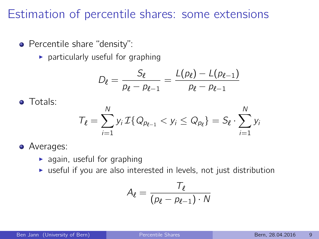## Estimation of percentile shares: some extensions

- Percentile share "density":
	- $\triangleright$  particularly useful for graphing

$$
D_{\ell} = \frac{S_{\ell}}{p_{\ell} - p_{\ell-1}} = \frac{L(p_{\ell}) - L(p_{\ell-1})}{p_{\ell} - p_{\ell-1}}
$$

**o** Totals:

$$
\mathcal{T}_{\ell} = \sum_{i=1}^N y_i \mathcal{I}\{Q_{p_{\ell-1}} < y_i \leq Q_{p_{\ell}}\} = \mathcal{S}_{\ell} \cdot \sum_{i=1}^N y_i
$$

• Averages:

- $\blacktriangleright$  again, useful for graphing
- $\triangleright$  useful if you are also interested in levels, not just distribution

$$
A_{\ell} = \frac{T_{\ell}}{(p_{\ell} - p_{\ell-1}) \cdot N}
$$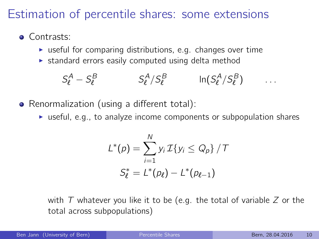## Estimation of percentile shares: some extensions

- Contrasts:
	- $\triangleright$  useful for comparing distributions, e.g. changes over time
	- $\triangleright$  standard errors easily computed using delta method

$$
S_{\ell}^A - S_{\ell}^B \qquad S_{\ell}^A / S_{\ell}^B \qquad \ln(S_{\ell}^A / S_{\ell}^B) \qquad \ldots
$$

- Renormalization (using a different total):
	- $\triangleright$  useful, e.g., to analyze income components or subpopulation shares

$$
L^*(p) = \sum_{i=1}^N y_i \mathcal{I}\{y_i \le Q_p\} / \mathcal{T}
$$

$$
S_{\ell}^* = L^*(p_{\ell}) - L^*(p_{\ell-1})
$$

with  $T$  whatever you like it to be (e.g. the total of variable  $Z$  or the total across subpopulations)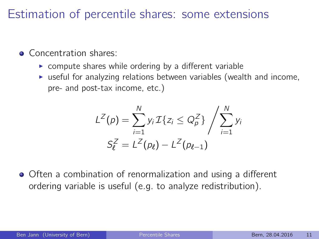## Estimation of percentile shares: some extensions

- **Concentration shares:** 
	- $\triangleright$  compute shares while ordering by a different variable
	- $\triangleright$  useful for analyzing relations between variables (wealth and income, pre- and post-tax income, etc.)

$$
L^{Z}(p) = \sum_{i=1}^{N} y_{i} \mathcal{I}\{z_{i} \leq Q_{p}^{Z}\} / \sum_{i=1}^{N} y_{i}
$$
  

$$
S_{\ell}^{Z} = L^{Z}(p_{\ell}) - L^{Z}(p_{\ell-1})
$$

**•** Often a combination of renormalization and using a different ordering variable is useful (e.g. to analyze redistribution).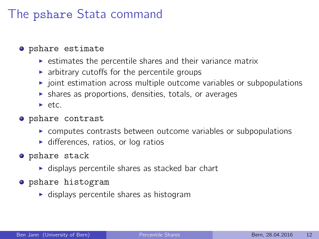# The pshare Stata command

#### $\circ$  pshare estimate

- $\triangleright$  estimates the percentile shares and their variance matrix
- $\triangleright$  arbitrary cutoffs for the percentile groups
- $\triangleright$  joint estimation across multiple outcome variables or subpopulations
- $\triangleright$  shares as proportions, densities, totals, or averages
- $\blacktriangleright$  etc.
- pshare contrast
	- $\triangleright$  computes contrasts between outcome variables or subpopulations
	- $\blacktriangleright$  differences, ratios, or log ratios
- **o** pshare stack
	- $\blacktriangleright$  displays percentile shares as stacked bar chart
- pshare histogram
	- $\blacktriangleright$  displays percentile shares as histogram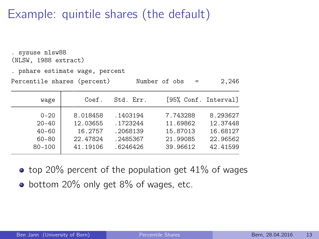## Example: quintile shares (the default)

. sysuse nlsw88 (NLSW, 1988 extract)

. pshare estimate wage, percent

Percentile shares (percent) Number of obs = 2,246

| wage                                                          | Coef.                                                   | Std. Err.                                                | [95% Conf. Interval]                                                                                                 |
|---------------------------------------------------------------|---------------------------------------------------------|----------------------------------------------------------|----------------------------------------------------------------------------------------------------------------------|
| $0 - 20$<br>$20 - 40$<br>$40 - 60$<br>$60 - 80$<br>$80 - 100$ | 8.018458<br>12.03655<br>16.2757<br>22.47824<br>41.19106 | .1403194<br>.1723244<br>.2068139<br>.2485367<br>.6246426 | 7.743288<br>8.293627<br>12.37448<br>11.69862<br>15.87013<br>16.68127<br>21.99085<br>22.96562<br>39.96612<br>42.41599 |

 $\bullet$  top 20% percent of the population get 41% of wages

 $\bullet$  bottom 20% only get 8% of wages, etc.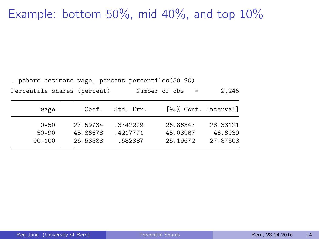### Example: bottom 50%, mid 40%, and top 10%

. pshare estimate wage, percent percentiles(50 90)

Percentile shares (percent) Mumber of obs = 2,246 wage Coef. Std. Err. [95% Conf. Interval] 0-50 27.59734 .3742279 26.86347 28.33121 50-90 45.86678 .4217771 45.03967 46.6939 90-100 26.53588 .682887 25.19672 27.87503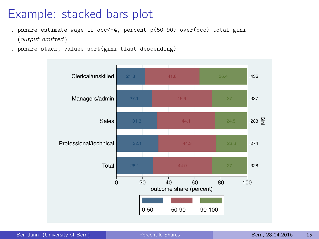## Example: stacked bars plot

- . pshare estimate wage if  $occ \leq 4$ , percent p(50 90) over(occ) total gini (output omitted )
- . pshare stack, values sort(gini tlast descending)

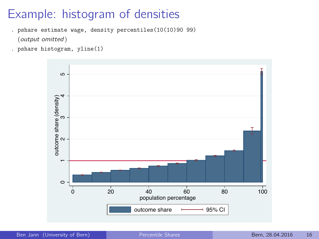# Example: histogram of densities

. pshare estimate wage, density percentiles(10(10)90 99)

(output omitted )

. pshare histogram, yline(1)

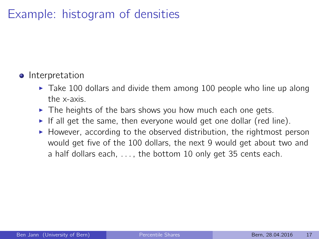# Example: histogram of densities

#### **o** Interpretation

- $\blacktriangleright$  Take 100 dollars and divide them among 100 people who line up along the x-axis.
- $\triangleright$  The heights of the bars shows you how much each one gets.
- If all get the same, then everyone would get one dollar (red line).
- $\blacktriangleright$  However, according to the observed distribution, the rightmost person would get five of the 100 dollars, the next 9 would get about two and a half dollars each, . . . , the bottom 10 only get 35 cents each.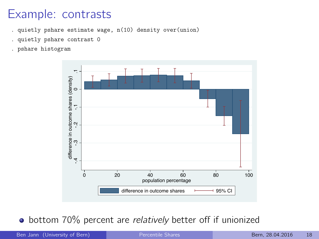## Example: contrasts

- . quietly pshare estimate wage, n(10) density over(union)
- . quietly pshare contrast 0
- . pshare histogram



bottom 70% percent are relatively better off if unionized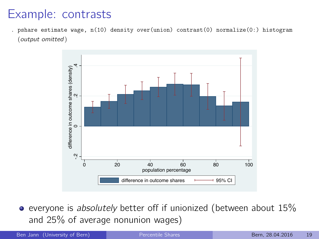## Example: contrasts

. pshare estimate wage, n(10) density over(union) contrast(0) normalize(0:) histogram (output omitted )



**•** everyone is absolutely better off if unionized (between about 15% and 25% of average nonunion wages)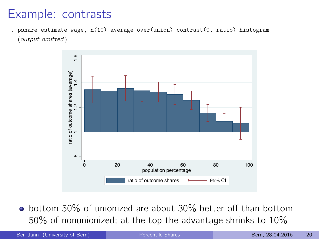## Example: contrasts

. pshare estimate wage, n(10) average over(union) contrast(0, ratio) histogram (output omitted )



**•** bottom 50% of unionized are about 30% better off than bottom 50% of nonunionized; at the top the advantage shrinks to 10%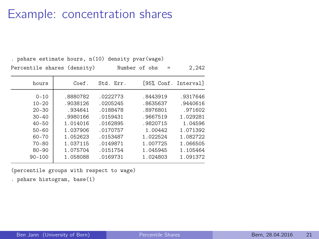#### Example: concentration shares

|                             | . pshare estimate hours, n(10) density pvar(wage) |     |       |
|-----------------------------|---------------------------------------------------|-----|-------|
| Percentile shares (density) | Number of obs                                     | $=$ | 2,242 |

| hours      | Coef.    | St.d. Err. | [95% Conf. Interval] |          |
|------------|----------|------------|----------------------|----------|
| $0 - 10$   | .8880782 | .0222773   | .8443919             | .9317646 |
| $10 - 20$  | .9038126 | .0205245   | .8635637             | .9440616 |
| $20 - 30$  | .934641  | .0188478   | .8976801             | .971602  |
| $30 - 40$  | .9980166 | .0159431   | .9667519             | 1.029281 |
| $40 - 50$  | 1.014016 | .0162895   | .9820715             | 1.04596  |
| $50 - 60$  | 1.037906 | .0170757   | 1.00442              | 1.071392 |
| 60-70      | 1.052623 | .0153487   | 1.022524             | 1.082722 |
| $70 - 80$  | 1.037115 | .0149871   | 1.007725             | 1.066505 |
| $80 - 90$  | 1.075704 | .0151754   | 1.045945             | 1.105464 |
| $90 - 100$ | 1.058088 | .0169731   | 1.024803             | 1.091372 |

(percentile groups with respect to wage)

. pshare histogram, base(1)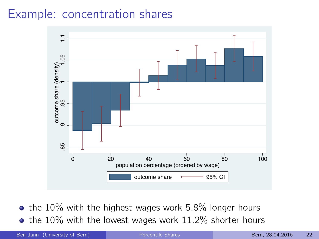## Example: concentration shares



• the 10% with the highest wages work 5.8% longer hours  $\bullet$  the 10% with the lowest wages work 11.2% shorter hours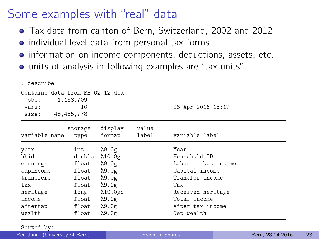#### Some examples with "real" data

- Tax data from canton of Bern, Switzerland, 2002 and 2012
- individual level data from personal tax forms
- information on income components, deductions, assets, etc.
- units of analysis in following examples are "tax units"

| . describe<br>Contains data from BE-02-12.dta<br>obs:<br>vars:<br>size: | 1,153,709<br>10<br>48, 455, 778 |                   |                | 28 Apr 2016 15:17   |  |
|-------------------------------------------------------------------------|---------------------------------|-------------------|----------------|---------------------|--|
| variable name                                                           | storage<br>type                 | display<br>format | value<br>label | variable label      |  |
| year                                                                    | int                             | %9.0g             |                | Year                |  |
| hhid                                                                    | double                          | %10.0g            |                | Household ID        |  |
| earnings                                                                | float                           | %9.0g             |                | Labor market income |  |
| capincome                                                               | float                           | %9.0g             |                | Capital income      |  |
| transfers                                                               | float                           | %9.0g             |                | Transfer income     |  |
| tax                                                                     | float                           | %9.0g             |                | Tax                 |  |
| heritage                                                                | long                            | %10.0gc           |                | Received heritage   |  |
| income                                                                  | float                           | %9.0g             |                | Total income        |  |
| aftertax                                                                | float                           | %9.0g             |                | After tax income    |  |
| wealth                                                                  | float                           | %9.0g             |                | Net wealth          |  |
| Sorted by:                                                              |                                 |                   |                |                     |  |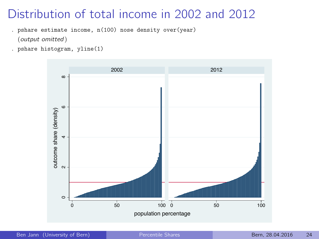## Distribution of total income in 2002 and 2012

- . pshare estimate income, n(100) nose density over(year)
	- (output omitted )
- . pshare histogram, yline(1)

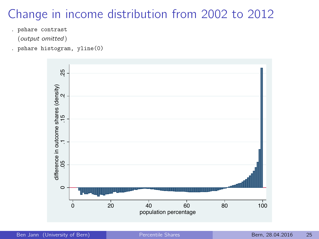# Change in income distribution from 2002 to 2012

- . pshare contrast
	- (output omitted )
- . pshare histogram, yline(0)

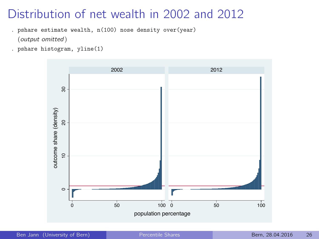## Distribution of net wealth in 2002 and 2012

- . pshare estimate wealth, n(100) nose density over(year)
	- (output omitted )
- . pshare histogram, yline(1)

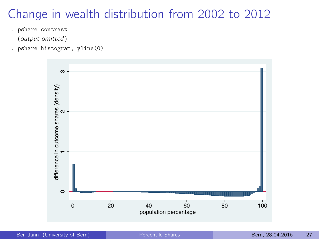# Change in wealth distribution from 2002 to 2012

- . pshare contrast
	- (output omitted )
- . pshare histogram, yline(0)

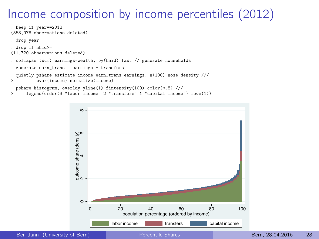## Income composition by income percentiles (2012)

```
. keep if year==2012
(553,976 observations deleted)
. drop year
. drop if hhid>=.
(11,720 observations deleted)
. collapse (sum) earnings-wealth, by(hhid) fast // generate households
. generate earn trans = earnings + transfers
. quietly pshare estimate income earn_trans earnings, n(100) nose density ///<br>> mvar(income) normalize(income)
            > pvar(income) normalize(income)
. pshare histogram, overlay yline(1) fintensity(100) color(*.8) ///<br>> legend(order(3 "labor income" 2 "transfers" 1 "capital income
       > legend(order(3 "labor income" 2 "transfers" 1 "capital income") rows(1))
```
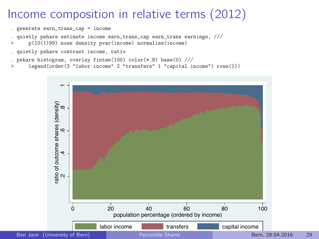## Income composition in relative terms (2012)

```
. generate earn_trans_cap = income
```

```
. quietly pshare estimate income earn_trans_cap earn_trans earnings, ///
```

```
> p(10(1)99) nose density pvar(income) normalize(income)
```

```
. quietly pshare contrast income, ratio
```

```
. pshare histogram, overlay finten(100) color(*.8) base(0) ///<br>
a legand(order(3 "labor income" 3 "transfers" 1 "capital is
```

```
> legend(order(3 "labor income" 2 "transfers" 1 "capital income") rows(1))
```
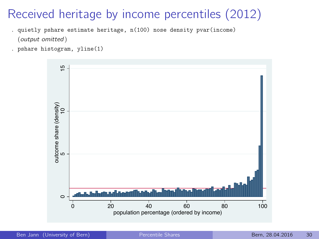# Received heritage by income percentiles (2012)

- . quietly pshare estimate heritage, n(100) nose density pvar(income) (output omitted )
- . pshare histogram, yline(1)

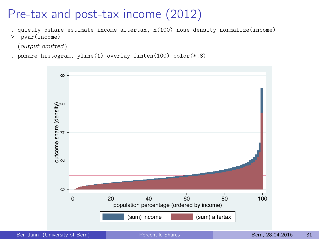# Pre-tax and post-tax income (2012)

- . quietly pshare estimate income aftertax, n(100) nose density normalize(income)
- > pvar(income)

(output omitted )

. pshare histogram, yline(1) overlay finten(100) color(\*.8)

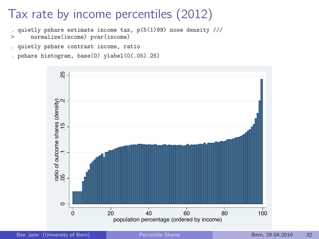## Tax rate by income percentiles (2012)

. quietly pshare estimate income tax,  $p(5(1)99)$  nose density ///

- > normalize(income) pvar(income)
- . quietly pshare contrast income, ratio
- . pshare histogram, base(0) ylabel(0(.05).25)

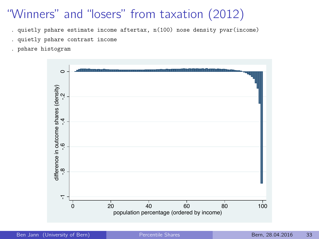## "Winners" and "losers" from taxation (2012)

- . quietly pshare estimate income aftertax, n(100) nose density pvar(income)
- . quietly pshare contrast income
- . pshare histogram

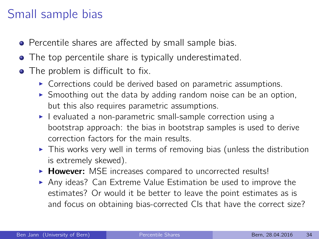## Small sample bias

- **•** Percentile shares are affected by small sample bias.
- The top percentile share is typically underestimated.
- The problem is difficult to fix.
	- $\triangleright$  Corrections could be derived based on parametric assumptions.
	- $\triangleright$  Smoothing out the data by adding random noise can be an option, but this also requires parametric assumptions.
	- $\blacktriangleright$  I evaluated a non-parametric small-sample correction using a bootstrap approach: the bias in bootstrap samples is used to derive correction factors for the main results.
	- $\triangleright$  This works very well in terms of removing bias (unless the distribution is extremely skewed).
	- ▶ However: MSE increases compared to uncorrected results!
	- $\triangleright$  Any ideas? Can Extreme Value Estimation be used to improve the estimates? Or would it be better to leave the point estimates as is and focus on obtaining bias-corrected CIs that have the correct size?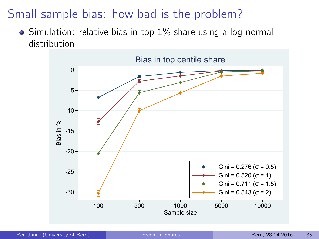## Small sample bias: how bad is the problem?

 $\bullet$  Simulation: relative bias in top 1% share using a log-normal distribution

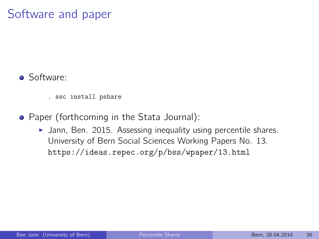## Software and paper

#### Software:

- . ssc install pshare
- Paper (forthcoming in the Stata Journal):
	- $\blacktriangleright$  Jann, Ben. 2015. Assessing inequality using percentile shares. University of Bern Social Sciences Working Papers No. 13. <https://ideas.repec.org/p/bss/wpaper/13.html>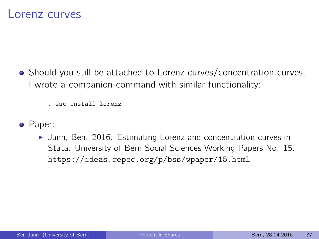• Should you still be attached to Lorenz curves/concentration curves, I wrote a companion command with similar functionality:

. ssc install lorenz

- Paper:
	- $\blacktriangleright$  Jann, Ben. 2016. Estimating Lorenz and concentration curves in Stata. University of Bern Social Sciences Working Papers No. 15. <https://ideas.repec.org/p/bss/wpaper/15.html>